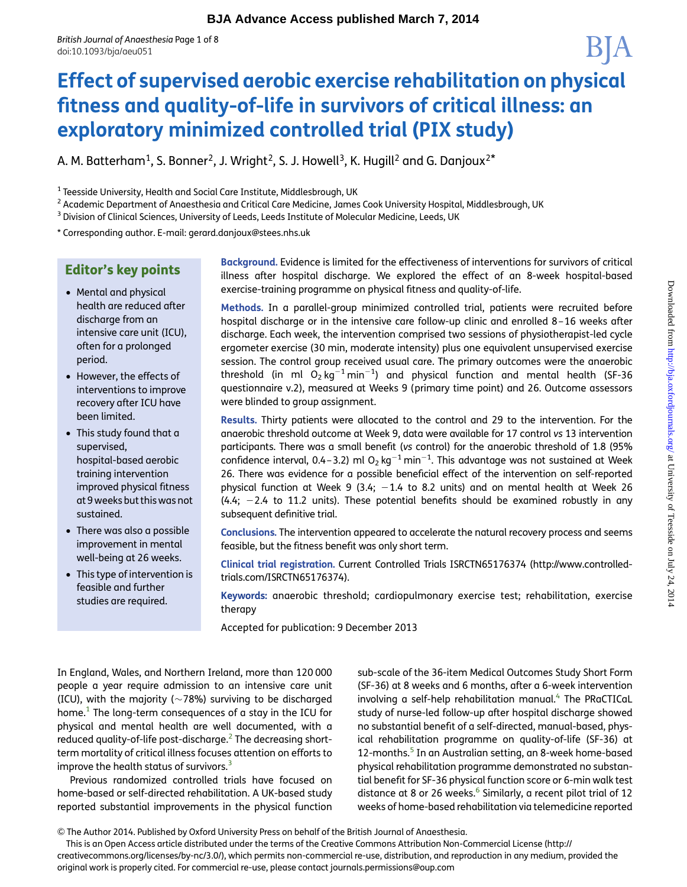# Effect of supervised aerobic exercise rehabilitation on physical fitness and quality-of-life in survivors of critical illness: an exploratory minimized controlled trial (PIX study)

A. M. Batterham<sup>1</sup>, S. Bonner<sup>2</sup>, J. Wright<sup>2</sup>, S. J. Howell<sup>3</sup>, K. Hugill<sup>2</sup> and G. Danjoux<sup>2\*</sup>

 $1$  Teesside University, Health and Social Care Institute, Middlesbrough, UK

<sup>2</sup> Academic Department of Anaesthesia and Critical Care Medicine, James Cook University Hospital, Middlesbrough, UK

<sup>3</sup> Division of Clinical Sciences, University of Leeds, Leeds Institute of Molecular Medicine, Leeds, UK

\* Corresponding author. E-mail: [gerard.danjoux@stees.nhs.uk](mailto:journals.permissions@oup.com)

# Editor's key points

- Mental and physical health are reduced after discharge from an intensive care unit (ICU), often for a prolonged period.
- However, the effects of interventions to improve recovery after ICU have been limited.
- This study found that a supervised, hospital-based aerobic training intervention improved physical fitness at 9 weeks but this was not sustained.
- There was also a possible improvement in mental well-being at 26 weeks.
- This type of intervention is feasible and further studies are required.

Background. Evidence is limited for the effectiveness of interventions for survivors of critical illness after hospital discharge. We explored the effect of an 8-week hospital-based exercise-training programme on physical fitness and quality-of-life.

Methods. In a parallel-group minimized controlled trial, patients were recruited before hospital discharge or in the intensive care follow-up clinic and enrolled 8–16 weeks after discharge. Each week, the intervention comprised two sessions of physiotherapist-led cycle ergometer exercise (30 min, moderate intensity) plus one equivalent unsupervised exercise session. The control group received usual care. The primary outcomes were the anaerobic threshold (in ml  $O_2$  kg<sup>-1</sup> min<sup>-1</sup>) and physical function and mental health (SF-36 questionnaire v.2), measured at Weeks 9 (primary time point) and 26. Outcome assessors were blinded to group assignment.

Results. Thirty patients were allocated to the control and 29 to the intervention. For the anaerobic threshold outcome at Week 9, data were available for 17 control vs 13 intervention participants. There was a small benefit (vs control) for the anaerobic threshold of 1.8 (95% confidence interval, 0.4–3.2) ml O<sub>2</sub> kg<sup>-1</sup> min<sup>-1</sup>. This advantage was not sustained at Week 26. There was evidence for a possible beneficial effect of the intervention on self-reported physical function at Week 9 (3.4;  $-1.4$  to 8.2 units) and on mental health at Week 26  $(4.4; -2.4$  to 11.2 units). These potential benefits should be examined robustly in any subsequent definitive trial.

Conclusions. The intervention appeared to accelerate the natural recovery process and seems feasible, but the fitness benefit was only short term.

Clinical trial registration. Current Controlled Trials ISRCTN65176374 [\(http://www.controlled](http://www.controlled-trials.com/ISRCTN65176374)[trials.com/ISRCTN65176374\)](http://www.controlled-trials.com/ISRCTN65176374).

Keywords: anaerobic threshold; cardiopulmonary exercise test; rehabilitation, exercise therapy

Accepted for publication: 9 December 2013

In England, Wales, and Northern Ireland, more than 120 000 people a year require admission to an intensive care unit (ICU), with the majority ( $\sim$ 78%) surviving to be discharged home.<sup>1</sup> The long-term consequences of a stay in the ICU for physical and mental health are well documented, with a reduced quality-of-life post-discharge.<sup>[2](#page-6-0)</sup> The decreasing shortterm mortality of critical illness focuses attention on efforts to improve the health status of survivors. $3$ 

Previous randomized controlled trials have focused on home-based or self-directed rehabilitation. A UK-based study reported substantial improvements in the physical function sub-scale of the 36-item Medical Outcomes Study Short Form (SF-36) at 8 weeks and 6 months, after a 6-week intervention involving a self-help rehabilitation manual.<sup>[4](#page-6-0)</sup> The PRaCTICaL study of nurse-led follow-up after hospital discharge showed no substantial benefit of a self-directed, manual-based, physical rehabilitation programme on quality-of-life (SF-36) at 12-months.<sup>[5](#page-7-0)</sup> In an Australian setting, an 8-week home-based physical rehabilitation programme demonstrated no substantial benefit for SF-36 physical function score or 6-min walk test distance at 8 or 2[6](#page-7-0) weeks.<sup>6</sup> Similarly, a recent pilot trial of 12 weeks of home-based rehabilitation via telemedicine reported

This is an Open Access article distributed under the terms of the Creative Commons Attribution Non-Commercial License (http://

creativecommons.org/licenses/by-nc/3.0/), which permits non-commercial re-use, distribution, and reproduction in any medium, provided the original work is properly cited. For commercial re-use, please contact [journals.permissions@oup.com](mailto:journals.permissions@oup.com)

<sup>&</sup>amp; The Author 2014. Published by Oxford University Press on behalf of the British Journal of Anaesthesia.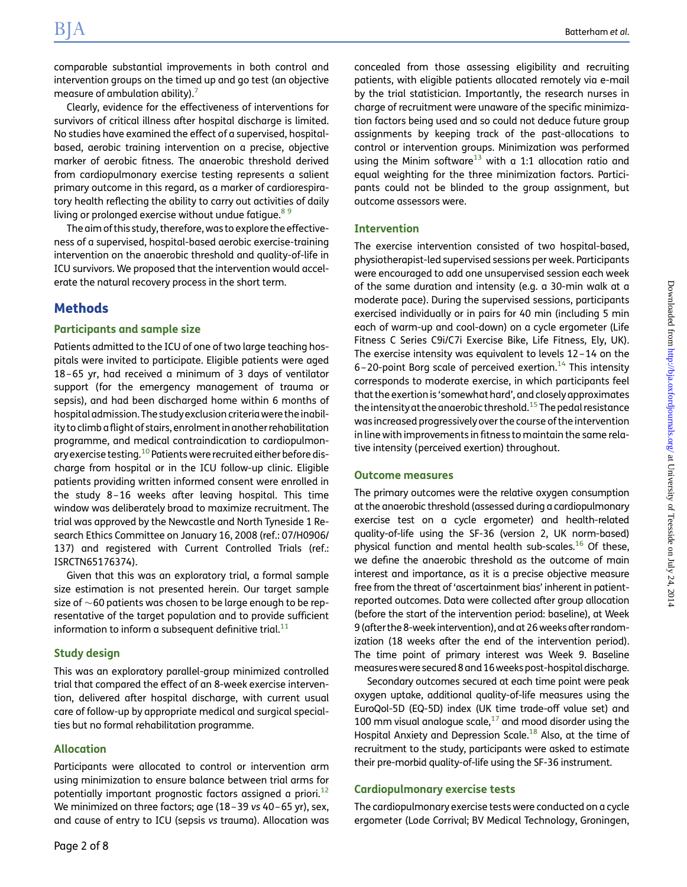comparable substantial improvements in both control and intervention groups on the timed up and go test (an objective measure of ambulation ability).

Clearly, evidence for the effectiveness of interventions for survivors of critical illness after hospital discharge is limited. No studies have examined the effect of a supervised, hospitalbased, aerobic training intervention on a precise, objective marker of aerobic fitness. The anaerobic threshold derived from cardiopulmonary exercise testing represents a salient primary outcome in this regard, as a marker of cardiorespiratory health reflecting the ability to carry out activities of daily living or prolonged exercise without undue fatigue.<sup>89</sup>

The aim of this study, therefore, was to explore the effectiveness of a supervised, hospital-based aerobic exercise-training intervention on the anaerobic threshold and quality-of-life in ICU survivors. We proposed that the intervention would accelerate the natural recovery process in the short term.

## Methods

#### Participants and sample size

Patients admitted to the ICU of one of two large teaching hospitals were invited to participate. Eligible patients were aged 18–65 yr, had received a minimum of 3 days of ventilator support (for the emergency management of trauma or sepsis), and had been discharged home within 6 months of hospital admission. The study exclusion criteriawere the inability to climb a flight of stairs, enrolment in another rehabilitation programme, and medical contraindication to cardiopulmonary exercise testing.[10](#page-7-0) Patients were recruited either before discharge from hospital or in the ICU follow-up clinic. Eligible patients providing written informed consent were enrolled in the study 8–16 weeks after leaving hospital. This time window was deliberately broad to maximize recruitment. The trial was approved by the Newcastle and North Tyneside 1 Research Ethics Committee on January 16, 2008 (ref.: 07/H0906/ 137) and registered with Current Controlled Trials (ref.: ISRCTN65176374).

Given that this was an exploratory trial, a formal sample size estimation is not presented herein. Our target sample size of  $\sim$ 60 patients was chosen to be large enough to be representative of the target population and to provide sufficient information to inform a subsequent definitive trial. $11$ 

#### Study design

This was an exploratory parallel-group minimized controlled trial that compared the effect of an 8-week exercise intervention, delivered after hospital discharge, with current usual care of follow-up by appropriate medical and surgical specialties but no formal rehabilitation programme.

#### Allocation

Participants were allocated to control or intervention arm using minimization to ensure balance between trial arms for potentially important prognostic factors assigned a priori.<sup>[12](#page-7-0)</sup> We minimized on three factors; age (18 –39 vs 40–65 yr), sex, and cause of entry to ICU (sepsis vs trauma). Allocation was concealed from those assessing eligibility and recruiting patients, with eligible patients allocated remotely via e-mail by the trial statistician. Importantly, the research nurses in charge of recruitment were unaware of the specific minimization factors being used and so could not deduce future group assignments by keeping track of the past-allocations to control or intervention groups. Minimization was performed using the Minim software<sup>[13](#page-7-0)</sup> with a 1:1 allocation ratio and equal weighting for the three minimization factors. Participants could not be blinded to the group assignment, but outcome assessors were.

#### Intervention

The exercise intervention consisted of two hospital-based, physiotherapist-led supervised sessions per week. Participants were encouraged to add one unsupervised session each week of the same duration and intensity (e.g. a 30-min walk at a moderate pace). During the supervised sessions, participants exercised individually or in pairs for 40 min (including 5 min each of warm-up and cool-down) on a cycle ergometer (Life Fitness C Series C9i/C7i Exercise Bike, Life Fitness, Ely, UK). The exercise intensity was equivalent to levels 12–14 on the 6–20-point Borg scale of perceived exertion.<sup>14</sup> This intensity corresponds to moderate exercise, in which participants feel that the exertion is 'somewhat hard', and closely approximates the intensity at the anaerobic threshold.<sup>15</sup> The pedal resistance was increased progressively over the course of the intervention in line with improvements in fitness to maintain the same relative intensity (perceived exertion) throughout.

#### Outcome measures

The primary outcomes were the relative oxygen consumption at the anaerobic threshold (assessed during a cardiopulmonary exercise test on a cycle ergometer) and health-related quality-of-life using the SF-36 (version 2, UK norm-based) physical function and mental health sub-scales.[16](#page-7-0) Of these, we define the anaerobic threshold as the outcome of main interest and importance, as it is a precise objective measure free from the threat of 'ascertainment bias' inherent in patientreported outcomes. Data were collected after group allocation (before the start of the intervention period: baseline), at Week 9 (after the 8-week intervention), and at 26 weeks after randomization (18 weeks after the end of the intervention period). The time point of primary interest was Week 9. Baseline measureswere secured 8 and 16weeks post-hospital discharge.

Secondary outcomes secured at each time point were peak oxygen uptake, additional quality-of-life measures using the EuroQol-5D (EQ-5D) index (UK time trade-off value set) and 100 mm visual analogue scale, $17$  and mood disorder using the Hospital Anxiety and Depression Scale.<sup>[18](#page-7-0)</sup> Also, at the time of recruitment to the study, participants were asked to estimate their pre-morbid quality-of-life using the SF-36 instrument.

#### Cardiopulmonary exercise tests

The cardiopulmonary exercise tests were conducted on a cycle ergometer (Lode Corrival; BV Medical Technology, Groningen,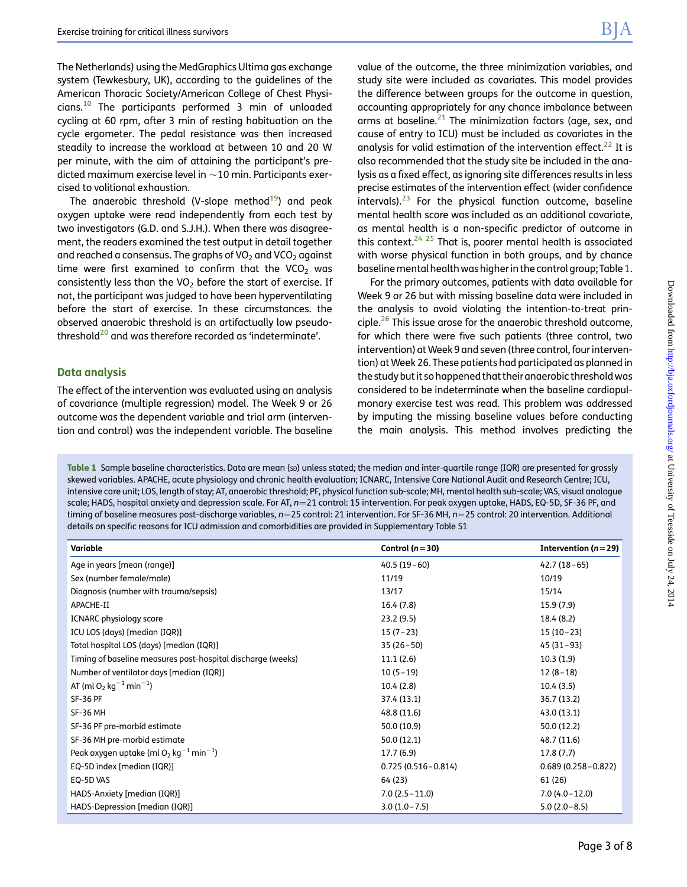<span id="page-2-0"></span>The Netherlands) using the MedGraphics Ultima gas exchange system (Tewkesbury, UK), according to the guidelines of the American Thoracic Society/American College of Chest Physicians.[10](#page-7-0) The participants performed 3 min of unloaded cycling at 60 rpm, after 3 min of resting habituation on the cycle ergometer. The pedal resistance was then increased steadily to increase the workload at between 10 and 20 W per minute, with the aim of attaining the participant's predicted maximum exercise level in  $\sim$  10 min. Participants exercised to volitional exhaustion.

The anaerobic threshold (V-slope method $19$ ) and peak oxygen uptake were read independently from each test by two investigators (G.D. and S.J.H.). When there was disagreement, the readers examined the test output in detail together and reached a consensus. The graphs of  $VO<sub>2</sub>$  and  $VCO<sub>2</sub>$  against time were first examined to confirm that the VCO<sub>2</sub> was consistently less than the VO<sub>2</sub> before the start of exercise. If not, the participant was judged to have been hyperventilating before the start of exercise. In these circumstances. the observed anaerobic threshold is an artifactually low pseudothreshold<sup>20</sup> and was therefore recorded as 'indeterminate'.

#### Data analysis

The effect of the intervention was evaluated using an analysis of covariance (multiple regression) model. The Week 9 or 26 outcome was the dependent variable and trial arm (intervention and control) was the independent variable. The baseline value of the outcome, the three minimization variables, and study site were included as covariates. This model provides the difference between groups for the outcome in question, accounting appropriately for any chance imbalance between arms at baseline. $21$  The minimization factors (age, sex, and cause of entry to ICU) must be included as covariates in the analysis for valid estimation of the intervention effect.<sup>[22](#page-7-0)</sup> It is also recommended that the study site be included in the analysis as a fixed effect, as ignoring site differences results in less precise estimates of the intervention effect (wider confidence intervals). $23$  For the physical function outcome, baseline mental health score was included as an additional covariate, as mental health is a non-specific predictor of outcome in this context.<sup>24, 25</sup> That is, poorer mental health is associated with worse physical function in both groups, and by chance baseline mental health was higher in the control group; Table 1.

For the primary outcomes, patients with data available for Week 9 or 26 but with missing baseline data were included in the analysis to avoid violating the intention-to-treat prin- $\text{ciple.}^{26}$  $\text{ciple.}^{26}$  $\text{ciple.}^{26}$  This issue arose for the anaerobic threshold outcome, for which there were five such patients (three control, two intervention) at Week 9 and seven (three control, four intervention) at Week 26. These patients had participated as planned in the study but it so happened that their anaerobic threshold was considered to be indeterminate when the baseline cardiopulmonary exercise test was read. This problem was addressed by imputing the missing baseline values before conducting the main analysis. This method involves predicting the

Table 1 Sample baseline characteristics. Data are mean (sp) unless stated; the median and inter-quartile range (IQR) are presented for grossly skewed variables. APACHE, acute physiology and chronic health evaluation; ICNARC, Intensive Care National Audit and Research Centre; ICU, intensive care unit; LOS, length of stay; AT, anaerobic threshold; PF, physical function sub-scale; MH, mental health sub-scale; VAS, visual analogue scale; HADS, hospital anxiety and depression scale. For AT, n=21 control: 15 intervention. For peak oxygen uptake, HADS, EQ-5D, SF-36 PF, and timing of baseline measures post-discharge variables,  $n=25$  control: 21 intervention. For SF-36 MH,  $n=25$  control: 20 intervention. Additional details on specific reasons for ICU admission and comorbidities are provided in [Supplementary Table S1](http://bja.oxfordjournals.org/lookup/suppl/doi:10.1093/bja/aeu051/-/DC1)

| Variable                                                          | Control ( $n=30$ )     | Intervention ( $n = 29$ ) |
|-------------------------------------------------------------------|------------------------|---------------------------|
| Age in years [mean (range)]                                       | $40.5(19-60)$          | $42.7(18-65)$             |
| Sex (number female/male)                                          | 11/19                  | 10/19                     |
| Diagnosis (number with trauma/sepsis)                             | 13/17                  | 15/14                     |
| APACHE-II                                                         | 16.4(7.8)              | 15.9(7.9)                 |
| <b>ICNARC</b> physiology score                                    | 23.2(9.5)              | 18.4 (8.2)                |
| ICU LOS (days) [median (IQR)]                                     | $15(7-23)$             | $15(10-23)$               |
| Total hospital LOS (days) [median (IQR)]                          | $35(26-50)$            | $45(31-93)$               |
| Timing of baseline measures post-hospital discharge (weeks)       | 11.1(2.6)              | 10.3(1.9)                 |
| Number of ventilator days [median (IQR)]                          | $10(5-19)$             | $12(8-18)$                |
| AT (ml O <sub>2</sub> kg <sup>-1</sup> min <sup>-1</sup> )        | 10.4(2.8)              | 10.4(3.5)                 |
| <b>SF-36 PF</b>                                                   | 37.4 (13.1)            | 36.7 (13.2)               |
| <b>SF-36 MH</b>                                                   | 48.8 (11.6)            | 43.0 (13.1)               |
| SF-36 PF pre-morbid estimate                                      | 50.0 (10.9)            | 50.0 (12.2)               |
| SF-36 MH pre-morbid estimate                                      | 50.0(12.1)             | 48.7 (11.6)               |
| Peak oxygen uptake (ml $O_2$ kg <sup>-1</sup> min <sup>-1</sup> ) | 17.7(6.9)              | 17.8(7.7)                 |
| EQ-5D index [median (IQR)]                                        | $0.725(0.516 - 0.814)$ | $0.689(0.258 - 0.822)$    |
| EQ-5D VAS                                                         | 64 (23)                | 61 (26)                   |
| HADS-Anxiety [median (IQR)]                                       | $7.0(2.5 - 11.0)$      | $7.0(4.0-12.0)$           |
| HADS-Depression [median (IQR)]                                    | $3.0(1.0 - 7.5)$       | $5.0(2.0-8.5)$            |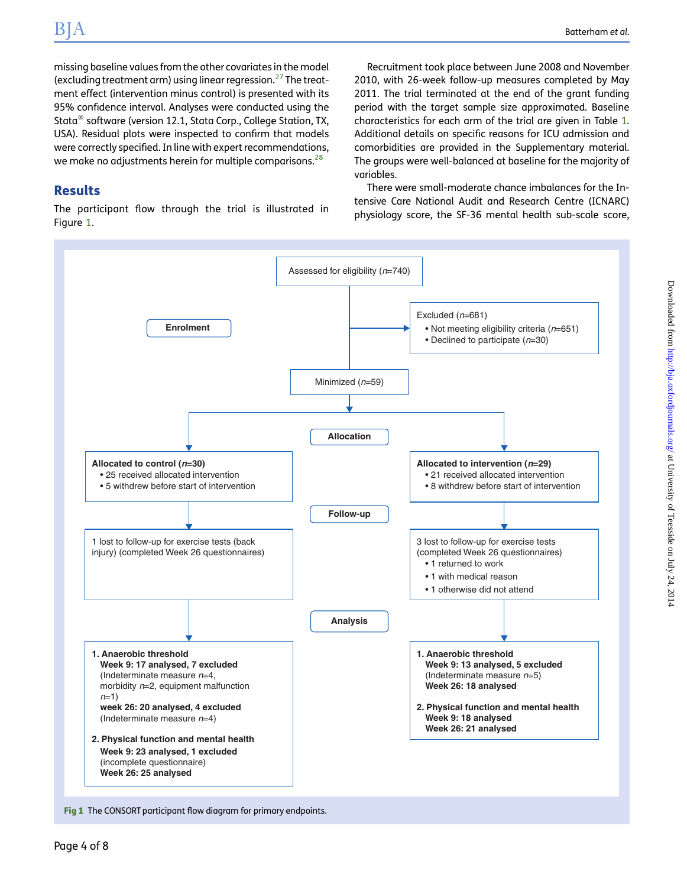<span id="page-3-0"></span>missing baseline values from the other covariates in the model (excluding treatment arm) using linear regression.<sup>[27](#page-7-0)</sup> The treatment effect (intervention minus control) is presented with its 95% confidence interval. Analyses were conducted using the Stata<sup>®</sup> software (version 12.1, Stata Corp., College Station, TX, USA). Residual plots were inspected to confirm that models were correctly specified. In line with expert recommendations, we make no adjustments herein for multiple comparisons. $^{28}$  $^{28}$  $^{28}$ 

# Results

The participant flow through the trial is illustrated in Figure 1.

Recruitment took place between June 2008 and November 2010, with 26-week follow-up measures completed by May 2011. The trial terminated at the end of the grant funding period with the target sample size approximated. Baseline characteristics for each arm of the trial are given in Table [1](#page-2-0). Additional details on specific reasons for ICU admission and comorbidities are provided in the [Supplementary material](http://bja.oxfordjournals.org/lookup/suppl/doi:10.1093/bja/aeu051/-/DC1). The groups were well-balanced at baseline for the majority of variables.

There were small-moderate chance imbalances for the Intensive Care National Audit and Research Centre (ICNARC) physiology score, the SF-36 mental health sub-scale score,

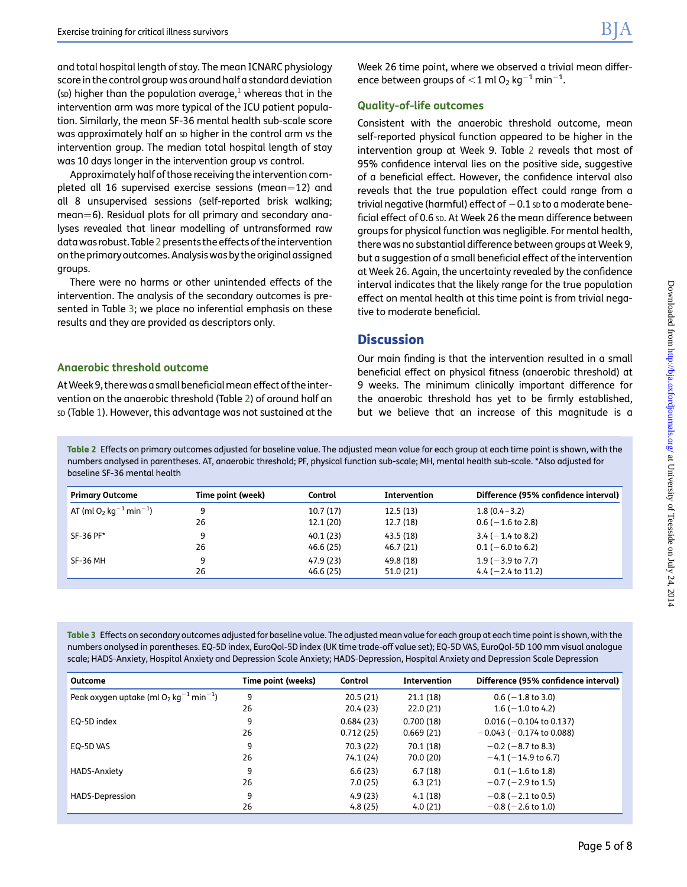<span id="page-4-0"></span>and total hospital length of stay. The mean ICNARC physiology score in the control group was around half a standard deviation (sp) higher than the population average,<sup>[1](#page-6-0)</sup> whereas that in the intervention arm was more typical of the ICU patient population. Similarly, the mean SF-36 mental health sub-scale score was approximately half an sp higher in the control arm vs the intervention group. The median total hospital length of stay was 10 days longer in the intervention group vs control.

Approximately half of those receiving the intervention completed all 16 supervised exercise sessions (mean=12) and all 8 unsupervised sessions (self-reported brisk walking; mean=6). Residual plots for all primary and secondary analyses revealed that linear modelling of untransformed raw data was robust. Table 2 presents the effects of the intervention on the primary outcomes. Analysis was by the original assigned groups.

There were no harms or other unintended effects of the intervention. The analysis of the secondary outcomes is presented in Table 3; we place no inferential emphasis on these results and they are provided as descriptors only.

### Anaerobic threshold outcome

AtWeek 9, therewas a small beneficialmean effect of the intervention on the anaerobic threshold (Table 2) of around half an SD (Table [1](#page-2-0)). However, this advantage was not sustained at the Week 26 time point, where we observed a trivial mean difference between groups of  $<$  1 ml O<sub>2</sub> kg $^{-1}$  min $^{-1}$ .

#### Quality-of-life outcomes

Consistent with the anaerobic threshold outcome, mean self-reported physical function appeared to be higher in the intervention group at Week 9. Table 2 reveals that most of 95% confidence interval lies on the positive side, suggestive of a beneficial effect. However, the confidence interval also reveals that the true population effect could range from a trivial negative (harmful) effect of  $-0.1$  sp to a moderate beneficial effect of 0.6 sp. At Week 26 the mean difference between groups for physical function was negligible. For mental health, there was no substantial difference between groups at Week 9, but a suggestion of a small beneficial effect of the intervention at Week 26. Again, the uncertainty revealed by the confidence interval indicates that the likely range for the true population effect on mental health at this time point is from trivial negative to moderate beneficial.

# **Discussion**

Our main finding is that the intervention resulted in a small beneficial effect on physical fitness (anaerobic threshold) at 9 weeks. The minimum clinically important difference for the anaerobic threshold has yet to be firmly established, but we believe that an increase of this magnitude is a

Table 2 Effects on primary outcomes adjusted for baseline value. The adjusted mean value for each group at each time point is shown, with the numbers analysed in parentheses. AT, anaerobic threshold; PF, physical function sub-scale; MH, mental health sub-scale. \*Also adjusted for baseline SF-36 mental health

| <b>Primary Outcome</b>                                     | Time point (week) | Control                | <b>Intervention</b>    | Difference (95% confidence interval)            |
|------------------------------------------------------------|-------------------|------------------------|------------------------|-------------------------------------------------|
| AT (ml O <sub>2</sub> kg <sup>-1</sup> min <sup>-1</sup> ) | 9                 | 10.7(17)               | 12.5(13)               | $1.8(0.4 - 3.2)$                                |
|                                                            | 26                | 12.1 (20)              | 12.7(18)               | $0.6$ ( $-1.6$ to 2.8)                          |
| SF-36 PF*                                                  | 9                 | 40.1 (23)              | 43.5 (18)              | $3.4$ ( $-1.4$ to 8.2)                          |
|                                                            | 26                | 46.6 (25)              | 46.7(21)               | $0.1$ ( $-6.0$ to 6.2)                          |
| SF-36 MH                                                   | 9<br>26           | 47.9 (23)<br>46.6 (25) | 49.8 (18)<br>51.0 (21) | $1.9$ ( $-3.9$ to 7.7)<br>4.4 ( $-2.4$ to 11.2) |
|                                                            |                   |                        |                        |                                                 |

Table 3 Effects on secondary outcomes adjusted for baseline value. The adjusted mean value for each group at each time point is shown, with the numbers analysed in parentheses. EQ-5D index, EuroQol-5D index (UK time trade-off value set); EQ-5D VAS, EuroQol-5D 100 mm visual analogue scale; HADS-Anxiety, Hospital Anxiety and Depression Scale Anxiety; HADS-Depression, Hospital Anxiety and Depression Scale Depression

| Outcome                                                           | Time point (weeks) | Control   | Intervention | Difference (95% confidence interval) |
|-------------------------------------------------------------------|--------------------|-----------|--------------|--------------------------------------|
| Peak oxygen uptake (ml $O_2$ kg <sup>-1</sup> min <sup>-1</sup> ) | 9                  | 20.5(21)  | 21.1(18)     | $0.6$ ( $-1.8$ to 3.0)               |
|                                                                   | 26                 | 20.4 (23) | 22.0(21)     | $1.6$ ( $-1.0$ to 4.2)               |
| EQ-5D index                                                       | 9                  | 0.684(23) | 0.700(18)    | $0.016$ ( $-0.104$ to 0.137)         |
|                                                                   | 26                 | 0.712(25) | 0.669(21)    | $-0.043$ ( $-0.174$ to 0.088)        |
| EQ-5D VAS                                                         | 9                  | 70.3 (22) | 70.1 (18)    | $-0.2$ ( $-8.7$ to 8.3)              |
|                                                                   | 26                 | 74.1 (24) | 70.0 (20)    | $-4.1$ ( $-14.9$ to 6.7)             |
| HADS-Anxiety                                                      | 9                  | 6.6(23)   | 6.7(18)      | $0.1$ ( $-1.6$ to 1.8)               |
|                                                                   | 26                 | 7.0(25)   | 6.3(21)      | $-0.7$ ( $-2.9$ to 1.5)              |
| HADS-Depression                                                   | 9                  | 4.9(23)   | 4.1(18)      | $-0.8$ ( $-2.1$ to 0.5)              |
|                                                                   | 26                 | 4.8(25)   | 4.0(21)      | $-0.8$ ( $-2.6$ to 1.0)              |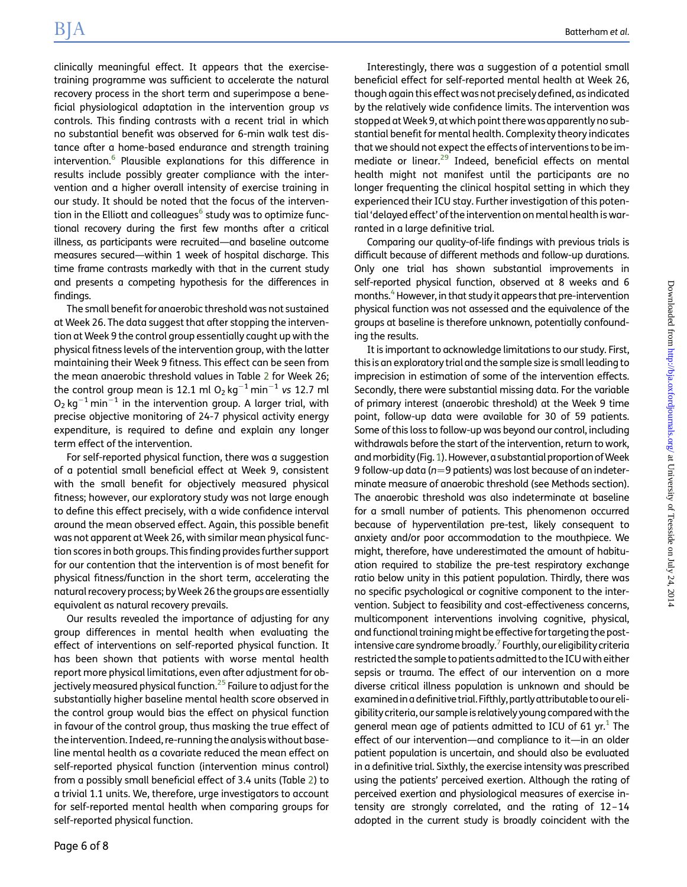clinically meaningful effect. It appears that the exercisetraining programme was sufficient to accelerate the natural recovery process in the short term and superimpose a beneficial physiological adaptation in the intervention group vs controls. This finding contrasts with a recent trial in which no substantial benefit was observed for 6-min walk test distance after a home-based endurance and strength training intervention.<sup>[6](#page-7-0)</sup> Plausible explanations for this difference in results include possibly greater compliance with the intervention and a higher overall intensity of exercise training in our study. It should be noted that the focus of the interven-tion in the Elliott and colleagues<sup>[6](#page-7-0)</sup> study was to optimize functional recovery during the first few months after a critical illness, as participants were recruited—and baseline outcome measures secured—within 1 week of hospital discharge. This time frame contrasts markedly with that in the current study and presents a competing hypothesis for the differences in findings.

The small benefit for anaerobic threshold was not sustained at Week 26. The data suggest that after stopping the intervention at Week 9 the control group essentially caught up with the physical fitness levels of the intervention group, with the latter maintaining their Week 9 fitness. This effect can be seen from the mean anaerobic threshold values in Table [2](#page-4-0) for Week 26; the control group mean is 12.1 ml  $O_2$  kg<sup>-1</sup> min<sup>-1</sup> vs 12.7 ml  $O_2$  kg<sup>-1</sup> min<sup>-1</sup> in the intervention group. A larger trial, with precise objective monitoring of 24-7 physical activity energy expenditure, is required to define and explain any longer term effect of the intervention.

For self-reported physical function, there was a suggestion of a potential small beneficial effect at Week 9, consistent with the small benefit for objectively measured physical fitness; however, our exploratory study was not large enough to define this effect precisely, with a wide confidence interval around the mean observed effect. Again, this possible benefit was not apparent at Week 26, with similar mean physical function scores in both groups. This finding provides further support for our contention that the intervention is of most benefit for physical fitness/function in the short term, accelerating the natural recovery process; byWeek 26 the groups are essentially equivalent as natural recovery prevails.

Our results revealed the importance of adjusting for any group differences in mental health when evaluating the effect of interventions on self-reported physical function. It has been shown that patients with worse mental health report more physical limitations, even after adjustment for ob-jectively measured physical function.<sup>[25](#page-7-0)</sup> Failure to adjust for the substantially higher baseline mental health score observed in the control group would bias the effect on physical function in favour of the control group, thus masking the true effect of the intervention. Indeed, re-running the analysis without baseline mental health as a covariate reduced the mean effect on self-reported physical function (intervention minus control) from a possibly small beneficial effect of 3.4 units (Table [2\)](#page-4-0) to a trivial 1.1 units. We, therefore, urge investigators to account for self-reported mental health when comparing groups for self-reported physical function.

Interestingly, there was a suggestion of a potential small beneficial effect for self-reported mental health at Week 26, though again this effect was not precisely defined, as indicated by the relatively wide confidence limits. The intervention was stopped at Week 9, at which point there was apparently no substantial benefit for mental health. Complexity theory indicates that we should not expect the effects of interventions to be im-mediate or linear.<sup>[29](#page-7-0)</sup> Indeed, beneficial effects on mental health might not manifest until the participants are no longer frequenting the clinical hospital setting in which they experienced their ICU stay. Further investigation of this potential 'delayed effect' of the intervention on mental health is warranted in a large definitive trial.

Comparing our quality-of-life findings with previous trials is difficult because of different methods and follow-up durations. Only one trial has shown substantial improvements in self-reported physical function, observed at 8 weeks and 6 months.<sup>4</sup> However, in that study it appears that pre-intervention physical function was not assessed and the equivalence of the groups at baseline is therefore unknown, potentially confounding the results.

It is important to acknowledge limitations to our study. First, this is an exploratory trial and the sample size is small leading to imprecision in estimation of some of the intervention effects. Secondly, there were substantial missing data. For the variable of primary interest (anaerobic threshold) at the Week 9 time point, follow-up data were available for 30 of 59 patients. Some of this loss to follow-up was beyond our control, including withdrawals before the start of the intervention, return to work, and morbidity (Fig. [1\)](#page-3-0). However, a substantial proportion of Week 9 follow-up data ( $n=9$  patients) was lost because of an indeterminate measure of anaerobic threshold (see Methods section). The anaerobic threshold was also indeterminate at baseline for a small number of patients. This phenomenon occurred because of hyperventilation pre-test, likely consequent to anxiety and/or poor accommodation to the mouthpiece. We might, therefore, have underestimated the amount of habituation required to stabilize the pre-test respiratory exchange ratio below unity in this patient population. Thirdly, there was no specific psychological or cognitive component to the intervention. Subject to feasibility and cost-effectiveness concerns, multicomponent interventions involving cognitive, physical, and functional training might be effective for targeting the post-intensive care syndrome broadly.<sup>[7](#page-7-0)</sup> Fourthly, our eligibility criteria restricted the sample to patients admitted to the ICU with either sepsis or trauma. The effect of our intervention on a more diverse critical illness population is unknown and should be examinedin a definitive trial.Fifthly, partlyattributable to oureligibilitycriteria, our sample is relatively young comparedwith the general mean age of patients admitted to ICU of 61 yr. $^1$  The effect of our intervention—and compliance to it—in an older patient population is uncertain, and should also be evaluated in a definitive trial. Sixthly, the exercise intensity was prescribed using the patients' perceived exertion. Although the rating of perceived exertion and physiological measures of exercise intensity are strongly correlated, and the rating of 12–14 adopted in the current study is broadly coincident with the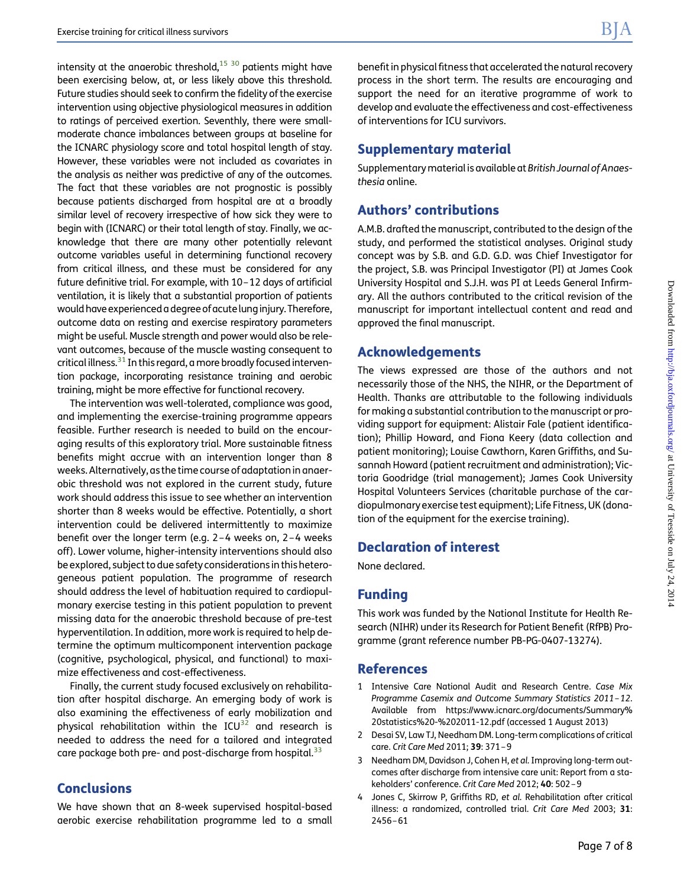<span id="page-6-0"></span>intensity at the anaerobic threshold, $15\,30$  patients might have been exercising below, at, or less likely above this threshold. Future studies should seek to confirm the fidelity of the exercise intervention using objective physiological measures in addition to ratings of perceived exertion. Seventhly, there were smallmoderate chance imbalances between groups at baseline for the ICNARC physiology score and total hospital length of stay. However, these variables were not included as covariates in the analysis as neither was predictive of any of the outcomes. The fact that these variables are not prognostic is possibly because patients discharged from hospital are at a broadly similar level of recovery irrespective of how sick they were to begin with (ICNARC) or their total length of stay. Finally, we acknowledge that there are many other potentially relevant outcome variables useful in determining functional recovery from critical illness, and these must be considered for any future definitive trial. For example, with 10–12 days of artificial ventilation, it is likely that a substantial proportion of patients would have experienced a degree of acutelung injury. Therefore, outcome data on resting and exercise respiratory parameters might be useful. Muscle strength and power would also be relevant outcomes, because of the muscle wasting consequent to critical illness.<sup>[31](#page-7-0)</sup> In this regard, a more broadly focused intervention package, incorporating resistance training and aerobic training, might be more effective for functional recovery.

The intervention was well-tolerated, compliance was good, and implementing the exercise-training programme appears feasible. Further research is needed to build on the encouraging results of this exploratory trial. More sustainable fitness benefits might accrue with an intervention longer than 8 weeks. Alternatively, as the time course of adaptation in anaerobic threshold was not explored in the current study, future work should address this issue to see whether an intervention shorter than 8 weeks would be effective. Potentially, a short intervention could be delivered intermittently to maximize benefit over the longer term (e.g. 2–4 weeks on, 2–4 weeks off). Lower volume, higher-intensity interventions should also be explored, subject to due safety considerations in this heterogeneous patient population. The programme of research should address the level of habituation required to cardiopulmonary exercise testing in this patient population to prevent missing data for the anaerobic threshold because of pre-test hyperventilation. In addition, more work is required to help determine the optimum multicomponent intervention package (cognitive, psychological, physical, and functional) to maximize effectiveness and cost-effectiveness.

Finally, the current study focused exclusively on rehabilitation after hospital discharge. An emerging body of work is also examining the effectiveness of early mobilization and physical rehabilitation within the  $ICU^{32}$  $ICU^{32}$  $ICU^{32}$  and research is needed to address the need for a tailored and integrated care package both pre- and post-discharge from hospital.<sup>[33](#page-7-0)</sup>

# **Conclusions**

We have shown that an 8-week supervised hospital-based aerobic exercise rehabilitation programme led to a small benefit in physical fitness that accelerated the natural recovery process in the short term. The results are encouraging and support the need for an iterative programme of work to develop and evaluate the effectiveness and cost-effectiveness of interventions for ICU survivors.

# Supplementary material

Supplementary material is available at British Journal of Anaesthesia [online.](http://bja.oxfordjournals.org/lookup/suppl/doi:10.1093/bja/aeu051/-/DC1)

# Authors' contributions

A.M.B. drafted the manuscript, contributed to the design of the study, and performed the statistical analyses. Original study concept was by S.B. and G.D. G.D. was Chief Investigator for the project, S.B. was Principal Investigator (PI) at James Cook University Hospital and S.J.H. was PI at Leeds General Infirmary. All the authors contributed to the critical revision of the manuscript for important intellectual content and read and approved the final manuscript.

# Acknowledgements

The views expressed are those of the authors and not necessarily those of the NHS, the NIHR, or the Department of Health. Thanks are attributable to the following individuals for making a substantial contribution to the manuscript or providing support for equipment: Alistair Fale (patient identification); Phillip Howard, and Fiona Keery (data collection and patient monitoring); Louise Cawthorn, Karen Griffiths, and Susannah Howard (patient recruitment and administration); Victoria Goodridge (trial management); James Cook University Hospital Volunteers Services (charitable purchase of the cardiopulmonary exercise test equipment); Life Fitness, UK (donation of the equipment for the exercise training).

# Declaration of interest

None declared.

## Funding

This work was funded by the National Institute for Health Research (NIHR) under its Research for Patient Benefit (RfPB) Programme (grant reference number PB-PG-0407-13274).

## References

- 1 Intensive Care National Audit and Research Centre. Case Mix Programme Casemix and Outcome Summary Statistics 2011–12. Available from [https://www.icnarc.org/documents/Summary%](https://www.icnarc.org/documents/Summary%20statistics%20-%202011-12.pdf) [20statistics%20-%202011-12.pdf](https://www.icnarc.org/documents/Summary%20statistics%20-%202011-12.pdf) (accessed 1 August 2013)
- 2 Desai SV, Law TJ, Needham DM. Long-term complications of critical care. Crit Care Med 2011; 39: 371–9
- 3 Needham DM, Davidson J, Cohen H, et al.Improving long-term outcomes after discharge from intensive care unit: Report from a stakeholders' conference. Crit Care Med 2012; 40: 502–9
- 4 Jones C, Skirrow P, Griffiths RD, et al. Rehabilitation after critical illness: a randomized, controlled trial. Crit Care Med 2003; 31: 2456–61